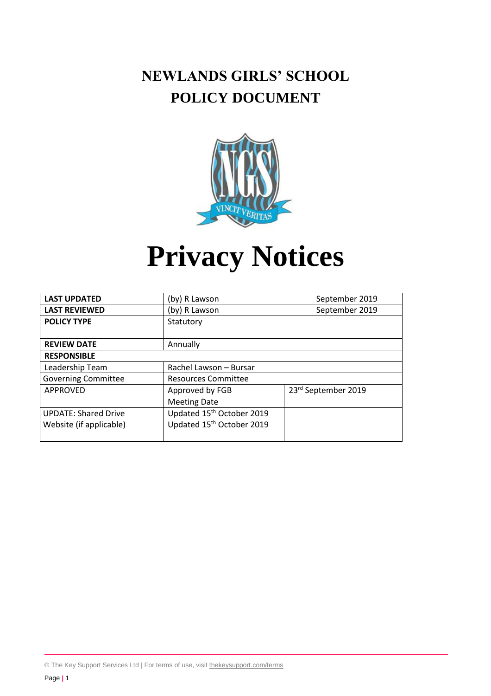# **NEWLANDS GIRLS' SCHOOL POLICY DOCUMENT**



# **Privacy Notices**

| <b>LAST UPDATED</b>         | (by) R Lawson                         | September 2019      |
|-----------------------------|---------------------------------------|---------------------|
| <b>LAST REVIEWED</b>        | (by) R Lawson                         | September 2019      |
| <b>POLICY TYPE</b>          | Statutory                             |                     |
|                             |                                       |                     |
| <b>REVIEW DATE</b>          | Annually                              |                     |
| <b>RESPONSIBLE</b>          |                                       |                     |
| Leadership Team             | Rachel Lawson - Bursar                |                     |
| <b>Governing Committee</b>  | <b>Resources Committee</b>            |                     |
| APPROVED                    | Approved by FGB                       | 23rd September 2019 |
|                             | <b>Meeting Date</b>                   |                     |
| <b>UPDATE: Shared Drive</b> | Updated 15 <sup>th</sup> October 2019 |                     |
| Website (if applicable)     | Updated 15th October 2019             |                     |
|                             |                                       |                     |

© The Key Support Services Ltd | For terms of use, visit [thekeysupport.com/terms](https://thekeysupport.com/terms-of-use)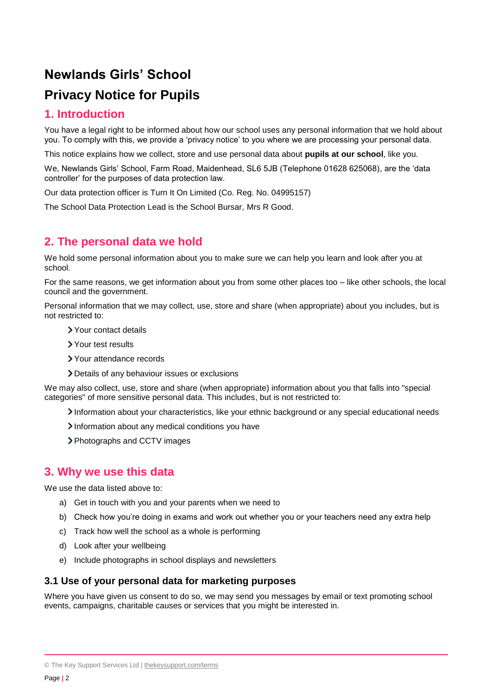# **Newlands Girls' School Privacy Notice for Pupils**

## **1. Introduction**

You have a legal right to be informed about how our school uses any personal information that we hold about you. To comply with this, we provide a 'privacy notice' to you where we are processing your personal data.

This notice explains how we collect, store and use personal data about **pupils at our school**, like you.

We, Newlands Girls' School, Farm Road, Maidenhead, SL6 5JB (Telephone 01628 625068), are the 'data controller' for the purposes of data protection law.

Our data protection officer is Turn It On Limited (Co. Reg. No. 04995157)

The School Data Protection Lead is the School Bursar, Mrs R Good.

# **2. The personal data we hold**

We hold some personal information about you to make sure we can help you learn and look after you at school.

For the same reasons, we get information about you from some other places too – like other schools, the local council and the government.

Personal information that we may collect, use, store and share (when appropriate) about you includes, but is not restricted to:

- Your contact details
- Your test results
- Your attendance records
- Details of any behaviour issues or exclusions

We may also collect, use, store and share (when appropriate) information about you that falls into "special categories" of more sensitive personal data. This includes, but is not restricted to:

Information about your characteristics, like your ethnic background or any special educational needs

- Information about any medical conditions you have
- Photographs and CCTV images

#### **3. Why we use this data**

We use the data listed above to:

- a) Get in touch with you and your parents when we need to
- b) Check how you're doing in exams and work out whether you or your teachers need any extra help
- c) Track how well the school as a whole is performing
- d) Look after your wellbeing
- e) Include photographs in school displays and newsletters

#### **3.1 Use of your personal data for marketing purposes**

Where you have given us consent to do so, we may send you messages by email or text promoting school events, campaigns, charitable causes or services that you might be interested in.

<sup>©</sup> The Key Support Services Ltd | [thekeysupport.com/terms](https://thekeysupport.com/terms-of-use)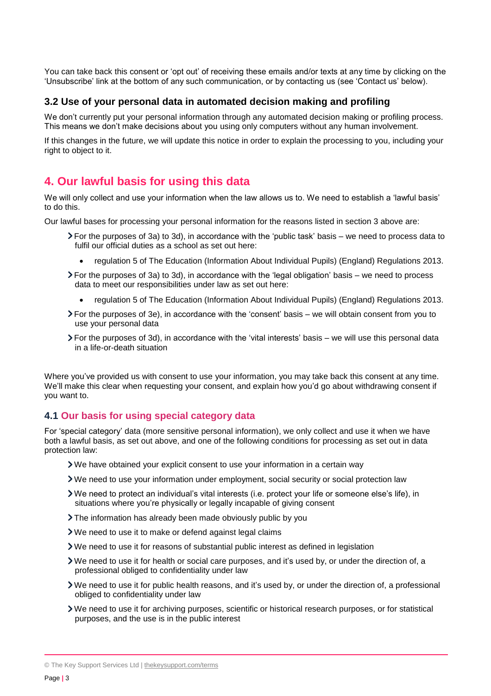You can take back this consent or 'opt out' of receiving these emails and/or texts at any time by clicking on the 'Unsubscribe' link at the bottom of any such communication, or by contacting us (see 'Contact us' below).

#### **3.2 Use of your personal data in automated decision making and profiling**

We don't currently put your personal information through any automated decision making or profiling process. This means we don't make decisions about you using only computers without any human involvement.

If this changes in the future, we will update this notice in order to explain the processing to you, including your right to object to it.

## **4. Our lawful basis for using this data**

We will only collect and use your information when the law allows us to. We need to establish a 'lawful basis' to do this.

Our lawful bases for processing your personal information for the reasons listed in section 3 above are:

- For the purposes of 3a) to 3d), in accordance with the 'public task' basis we need to process data to fulfil our official duties as a school as set out here:
	- regulation 5 of The Education (Information About Individual Pupils) (England) Regulations 2013.
- For the purposes of 3a) to 3d), in accordance with the 'legal obligation' basis we need to process data to meet our responsibilities under law as set out here:
	- regulation 5 of The Education (Information About Individual Pupils) (England) Regulations 2013.
- For the purposes of 3e), in accordance with the 'consent' basis we will obtain consent from you to use your personal data
- For the purposes of 3d), in accordance with the 'vital interests' basis we will use this personal data in a life-or-death situation

Where you've provided us with consent to use your information, you may take back this consent at any time. We'll make this clear when requesting your consent, and explain how you'd go about withdrawing consent if you want to.

#### **4.1 Our basis for using special category data**

For 'special category' data (more sensitive personal information), we only collect and use it when we have both a lawful basis, as set out above, and one of the following conditions for processing as set out in data protection law:

- We have obtained your explicit consent to use your information in a certain way
- We need to use your information under employment, social security or social protection law
- We need to protect an individual's vital interests (i.e. protect your life or someone else's life), in situations where you're physically or legally incapable of giving consent
- > The information has already been made obviously public by you
- We need to use it to make or defend against legal claims
- We need to use it for reasons of substantial public interest as defined in legislation
- We need to use it for health or social care purposes, and it's used by, or under the direction of, a professional obliged to confidentiality under law
- We need to use it for public health reasons, and it's used by, or under the direction of, a professional obliged to confidentiality under law
- We need to use it for archiving purposes, scientific or historical research purposes, or for statistical purposes, and the use is in the public interest

<sup>©</sup> The Key Support Services Ltd | [thekeysupport.com/terms](https://thekeysupport.com/terms-of-use)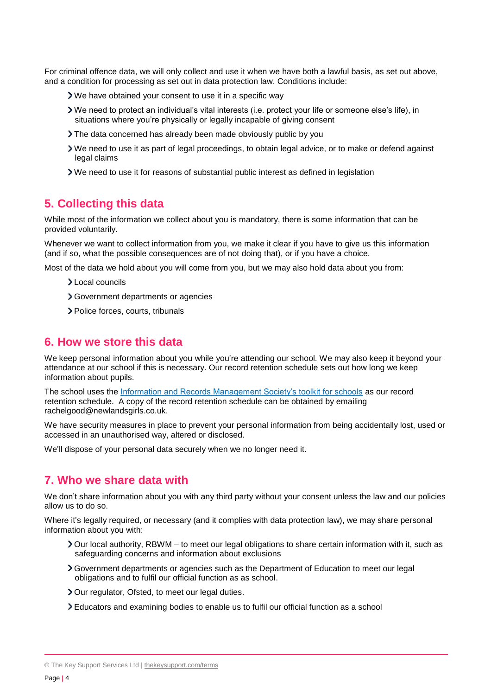For criminal offence data, we will only collect and use it when we have both a lawful basis, as set out above, and a condition for processing as set out in data protection law. Conditions include:

- We have obtained your consent to use it in a specific way
- We need to protect an individual's vital interests (i.e. protect your life or someone else's life), in situations where you're physically or legally incapable of giving consent
- The data concerned has already been made obviously public by you
- We need to use it as part of legal proceedings, to obtain legal advice, or to make or defend against legal claims
- We need to use it for reasons of substantial public interest as defined in legislation

## **5. Collecting this data**

While most of the information we collect about you is mandatory, there is some information that can be provided voluntarily.

Whenever we want to collect information from you, we make it clear if you have to give us this information (and if so, what the possible consequences are of not doing that), or if you have a choice.

Most of the data we hold about you will come from you, but we may also hold data about you from:

- Local councils
- Government departments or agencies
- > Police forces, courts, tribunals

#### **6. How we store this data**

We keep personal information about you while you're attending our school. We may also keep it beyond your attendance at our school if this is necessary. Our record retention schedule sets out how long we keep information about pupils.

The school uses the Information and Records Management Society's toolkit for schools as our record retention schedule. A copy of the record retention schedule can be obtained by emailing rachelgood@newlandsgirls.co.uk.

We have security measures in place to prevent your personal information from being accidentally lost, used or accessed in an unauthorised way, altered or disclosed.

We'll dispose of your personal data securely when we no longer need it.

#### **7. Who we share data with**

We don't share information about you with any third party without your consent unless the law and our policies allow us to do so.

Where it's legally required, or necessary (and it complies with data protection law), we may share personal information about you with:

- Our local authority, RBWM to meet our legal obligations to share certain information with it, such as safeguarding concerns and information about exclusions
- Government departments or agencies such as the Department of Education to meet our legal obligations and to fulfil our official function as as school.
- > Our regulator, Ofsted, to meet our legal duties.
- Educators and examining bodies to enable us to fulfil our official function as a school

<sup>©</sup> The Key Support Services Ltd | [thekeysupport.com/terms](https://thekeysupport.com/terms-of-use)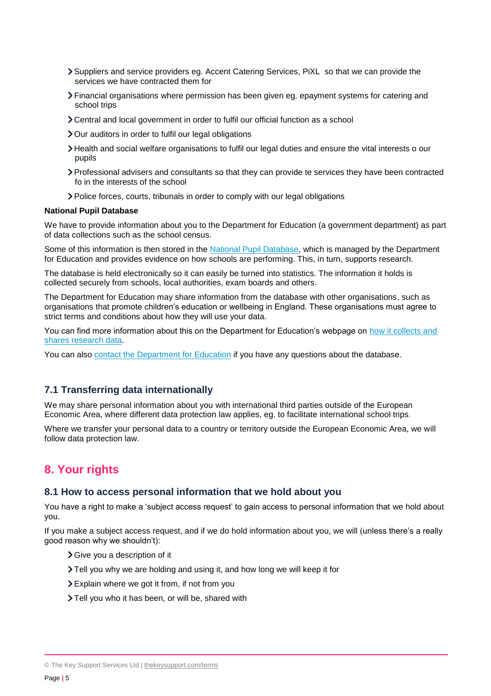- Suppliers and service providers eg. Accent Catering Services, PiXL so that we can provide the services we have contracted them for
- Financial organisations where permission has been given eg. epayment systems for catering and school trips
- Central and local government in order to fulfil our official function as a school
- > Our auditors in order to fulfil our legal obligations
- Health and social welfare organisations to fulfil our legal duties and ensure the vital interests o our pupils
- Professional advisers and consultants so that they can provide te services they have been contracted fo in the interests of the school
- Police forces, courts, tribunals in order to comply with our legal obligations

#### **National Pupil Database**

We have to provide information about you to the Department for Education (a government department) as part of data collections such as the school census.

Some of this information is then stored in the [National Pupil Database,](https://www.gov.uk/government/collections/national-pupil-database) which is managed by the Department for Education and provides evidence on how schools are performing. This, in turn, supports research.

The database is held electronically so it can easily be turned into statistics. The information it holds is collected securely from schools, local authorities, exam boards and others.

The Department for Education may share information from the database with other organisations, such as organisations that promote children's education or wellbeing in England. These organisations must agree to strict terms and conditions about how they will use your data.

You can find more information about this on the Department for Education's webpage on [how it collects and](https://www.gov.uk/data-protection-how-we-collect-and-share-research-data)  [shares research data.](https://www.gov.uk/data-protection-how-we-collect-and-share-research-data)

You can also [contact the Department for Education](https://www.gov.uk/contact-dfe) if you have any questions about the database.

#### **7.1 Transferring data internationally**

We may share personal information about you with international third parties outside of the European Economic Area, where different data protection law applies, eg. to facilitate international school trips.

Where we transfer your personal data to a country or territory outside the European Economic Area, we will follow data protection law.

#### **8. Your rights**

#### **8.1 How to access personal information that we hold about you**

You have a right to make a 'subject access request' to gain access to personal information that we hold about you.

If you make a subject access request, and if we do hold information about you, we will (unless there's a really good reason why we shouldn't):

- Give you a description of it
- Tell you why we are holding and using it, and how long we will keep it for
- Explain where we got it from, if not from you
- > Tell you who it has been, or will be, shared with

<sup>©</sup> The Key Support Services Ltd | [thekeysupport.com/terms](https://thekeysupport.com/terms-of-use)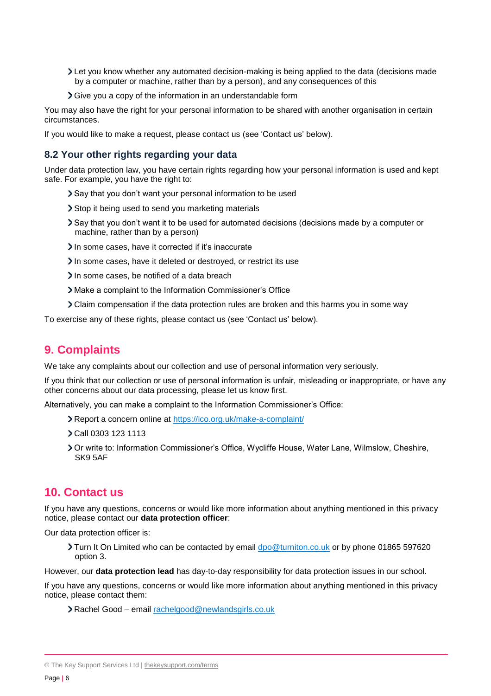- Let you know whether any automated decision-making is being applied to the data (decisions made by a computer or machine, rather than by a person), and any consequences of this
- Give you a copy of the information in an understandable form

You may also have the right for your personal information to be shared with another organisation in certain circumstances.

If you would like to make a request, please contact us (see 'Contact us' below).

#### **8.2 Your other rights regarding your data**

Under data protection law, you have certain rights regarding how your personal information is used and kept safe. For example, you have the right to:

- Say that you don't want your personal information to be used
- Stop it being used to send you marketing materials
- Say that you don't want it to be used for automated decisions (decisions made by a computer or machine, rather than by a person)
- In some cases, have it corrected if it's inaccurate
- In some cases, have it deleted or destroyed, or restrict its use
- In some cases, be notified of a data breach
- Make a complaint to the Information Commissioner's Office
- Claim compensation if the data protection rules are broken and this harms you in some way

To exercise any of these rights, please contact us (see 'Contact us' below).

# **9. Complaints**

We take any complaints about our collection and use of personal information very seriously.

If you think that our collection or use of personal information is unfair, misleading or inappropriate, or have any other concerns about our data processing, please let us know first.

Alternatively, you can make a complaint to the Information Commissioner's Office:

- Report a concern online at<https://ico.org.uk/make-a-complaint/>
- Call 0303 123 1113
- Or write to: Information Commissioner's Office, Wycliffe House, Water Lane, Wilmslow, Cheshire, SK9 5AF

# **10. Contact us**

If you have any questions, concerns or would like more information about anything mentioned in this privacy notice, please contact our **data protection officer**:

Our data protection officer is:

Turn It On Limited who can be contacted by email [dpo@turniton.co.uk](mailto:dpo@turniton.co.uk) or by phone 01865 597620 option 3.

However, our **data protection lead** has day-to-day responsibility for data protection issues in our school.

If you have any questions, concerns or would like more information about anything mentioned in this privacy notice, please contact them:

Rachel Good – email [rachelgood@newlandsgirls.co.uk](mailto:rachelgood@newlandsgirls.co.uk)

<sup>©</sup> The Key Support Services Ltd | [thekeysupport.com/terms](https://thekeysupport.com/terms-of-use)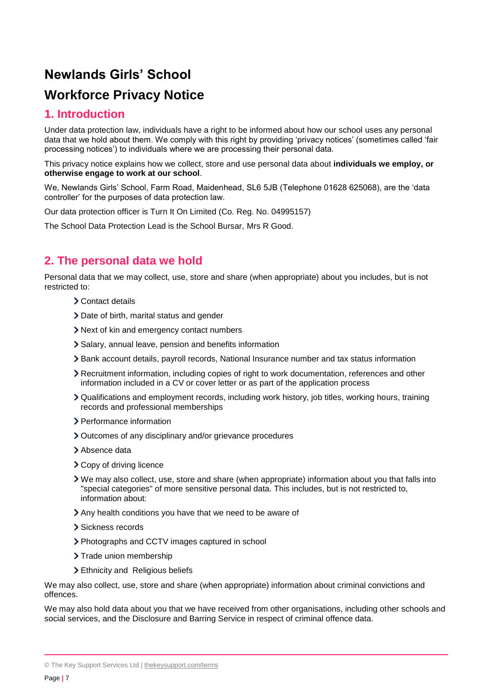# **Newlands Girls' School Workforce Privacy Notice**

## **1. Introduction**

Under data protection law, individuals have a right to be informed about how our school uses any personal data that we hold about them. We comply with this right by providing 'privacy notices' (sometimes called 'fair processing notices') to individuals where we are processing their personal data.

This privacy notice explains how we collect, store and use personal data about **individuals we employ, or otherwise engage to work at our school**.

We, Newlands Girls' School, Farm Road, Maidenhead, SL6 5JB (Telephone 01628 625068), are the 'data controller' for the purposes of data protection law.

Our data protection officer is Turn It On Limited (Co. Reg. No. 04995157)

The School Data Protection Lead is the School Bursar, Mrs R Good.

# **2. The personal data we hold**

Personal data that we may collect, use, store and share (when appropriate) about you includes, but is not restricted to:

- Contact details
- Date of birth, marital status and gender
- Next of kin and emergency contact numbers
- Salary, annual leave, pension and benefits information
- Bank account details, payroll records, National Insurance number and tax status information
- Recruitment information, including copies of right to work documentation, references and other information included in a CV or cover letter or as part of the application process
- Qualifications and employment records, including work history, job titles, working hours, training records and professional memberships
- > Performance information
- Outcomes of any disciplinary and/or grievance procedures
- > Absence data
- > Copy of driving licence
- We may also collect, use, store and share (when appropriate) information about you that falls into "special categories" of more sensitive personal data. This includes, but is not restricted to, information about:
- Any health conditions you have that we need to be aware of
- > Sickness records
- Photographs and CCTV images captured in school
- > Trade union membership
- > Ethnicity and Religious beliefs

We may also collect, use, store and share (when appropriate) information about criminal convictions and offences.

We may also hold data about you that we have received from other organisations, including other schools and social services, and the Disclosure and Barring Service in respect of criminal offence data.

<sup>©</sup> The Key Support Services Ltd | [thekeysupport.com/terms](https://thekeysupport.com/terms-of-use)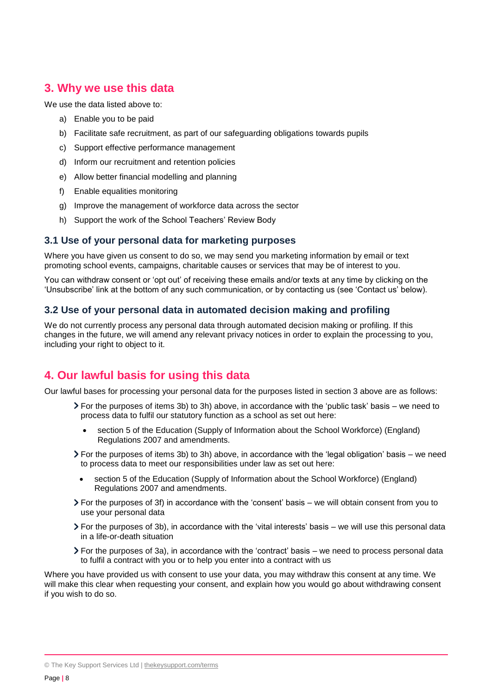## **3. Why we use this data**

We use the data listed above to:

- a) Enable you to be paid
- b) Facilitate safe recruitment, as part of our safeguarding obligations towards pupils
- c) Support effective performance management
- d) Inform our recruitment and retention policies
- e) Allow better financial modelling and planning
- f) Enable equalities monitoring
- g) Improve the management of workforce data across the sector
- h) Support the work of the School Teachers' Review Body

#### **3.1 Use of your personal data for marketing purposes**

Where you have given us consent to do so, we may send you marketing information by email or text promoting school events, campaigns, charitable causes or services that may be of interest to you.

You can withdraw consent or 'opt out' of receiving these emails and/or texts at any time by clicking on the 'Unsubscribe' link at the bottom of any such communication, or by contacting us (see 'Contact us' below).

#### **3.2 Use of your personal data in automated decision making and profiling**

We do not currently process any personal data through automated decision making or profiling. If this changes in the future, we will amend any relevant privacy notices in order to explain the processing to you, including your right to object to it.

# **4. Our lawful basis for using this data**

Our lawful bases for processing your personal data for the purposes listed in section 3 above are as follows:

- For the purposes of items 3b) to 3h) above, in accordance with the 'public task' basis we need to process data to fulfil our statutory function as a school as set out here:
	- section 5 of the Education (Supply of Information about the School Workforce) (England) Regulations 2007 and amendments.
- $\triangleright$  For the purposes of items 3b) to 3h) above, in accordance with the 'legal obligation' basis we need to process data to meet our responsibilities under law as set out here:
	- section 5 of the Education (Supply of Information about the School Workforce) (England) Regulations 2007 and amendments.
- For the purposes of 3f) in accordance with the 'consent' basis we will obtain consent from you to use your personal data
- For the purposes of 3b), in accordance with the 'vital interests' basis we will use this personal data in a life-or-death situation
- For the purposes of 3a), in accordance with the 'contract' basis we need to process personal data to fulfil a contract with you or to help you enter into a contract with us

Where you have provided us with consent to use your data, you may withdraw this consent at any time. We will make this clear when requesting your consent, and explain how you would go about withdrawing consent if you wish to do so.

<sup>©</sup> The Key Support Services Ltd | [thekeysupport.com/terms](https://thekeysupport.com/terms-of-use)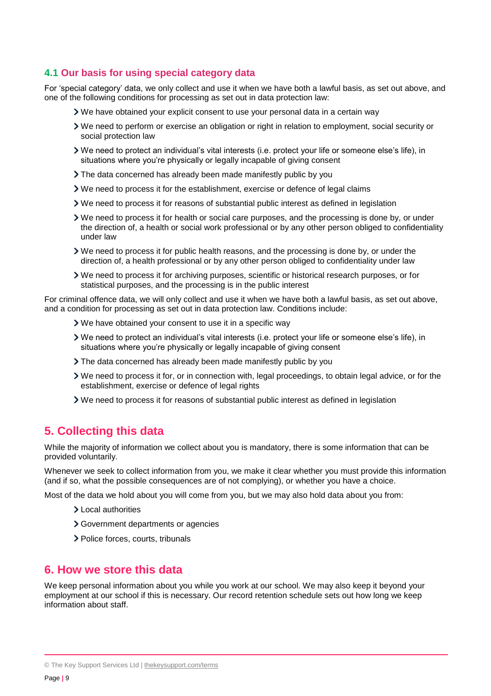#### **4.1 Our basis for using special category data**

For 'special category' data, we only collect and use it when we have both a lawful basis, as set out above, and one of the following conditions for processing as set out in data protection law:

- We have obtained your explicit consent to use your personal data in a certain way
- We need to perform or exercise an obligation or right in relation to employment, social security or social protection law
- We need to protect an individual's vital interests (i.e. protect your life or someone else's life), in situations where you're physically or legally incapable of giving consent
- The data concerned has already been made manifestly public by you
- We need to process it for the establishment, exercise or defence of legal claims
- We need to process it for reasons of substantial public interest as defined in legislation
- We need to process it for health or social care purposes, and the processing is done by, or under the direction of, a health or social work professional or by any other person obliged to confidentiality under law
- We need to process it for public health reasons, and the processing is done by, or under the direction of, a health professional or by any other person obliged to confidentiality under law
- We need to process it for archiving purposes, scientific or historical research purposes, or for statistical purposes, and the processing is in the public interest

For criminal offence data, we will only collect and use it when we have both a lawful basis, as set out above, and a condition for processing as set out in data protection law. Conditions include:

- We have obtained your consent to use it in a specific way
- We need to protect an individual's vital interests (i.e. protect your life or someone else's life), in situations where you're physically or legally incapable of giving consent
- The data concerned has already been made manifestly public by you
- We need to process it for, or in connection with, legal proceedings, to obtain legal advice, or for the establishment, exercise or defence of legal rights
- We need to process it for reasons of substantial public interest as defined in legislation

# **5. Collecting this data**

While the majority of information we collect about you is mandatory, there is some information that can be provided voluntarily.

Whenever we seek to collect information from you, we make it clear whether you must provide this information (and if so, what the possible consequences are of not complying), or whether you have a choice.

Most of the data we hold about you will come from you, but we may also hold data about you from:

- Local authorities
- Government departments or agencies
- > Police forces, courts, tribunals

#### **6. How we store this data**

We keep personal information about you while you work at our school. We may also keep it beyond your employment at our school if this is necessary. Our record retention schedule sets out how long we keep information about staff.

<sup>©</sup> The Key Support Services Ltd | [thekeysupport.com/terms](https://thekeysupport.com/terms-of-use)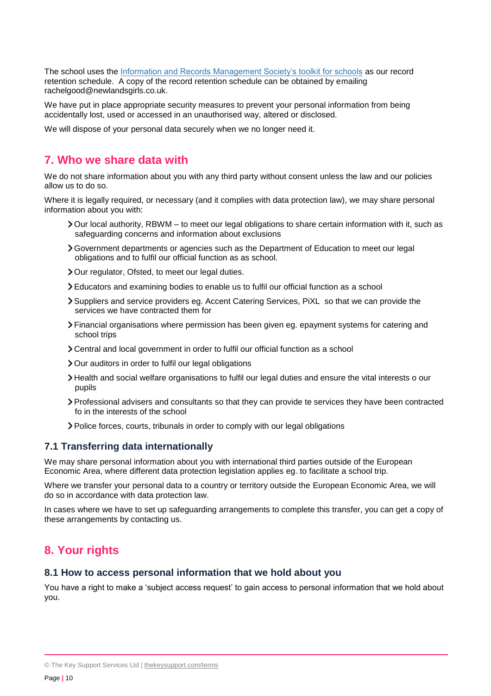The school uses the Information and Records Management Society's toolkit for schools as our record retention schedule. A copy of the record retention schedule can be obtained by emailing rachelgood@newlandsgirls.co.uk.

We have put in place appropriate security measures to prevent your personal information from being accidentally lost, used or accessed in an unauthorised way, altered or disclosed.

We will dispose of your personal data securely when we no longer need it.

#### **7. Who we share data with**

We do not share information about you with any third party without consent unless the law and our policies allow us to do so.

Where it is legally required, or necessary (and it complies with data protection law), we may share personal information about you with:

- Our local authority, RBWM to meet our legal obligations to share certain information with it, such as safeguarding concerns and information about exclusions
- Government departments or agencies such as the Department of Education to meet our legal obligations and to fulfil our official function as as school.
- > Our regulator, Ofsted, to meet our legal duties.
- Educators and examining bodies to enable us to fulfil our official function as a school
- Suppliers and service providers eg. Accent Catering Services, PiXL so that we can provide the services we have contracted them for
- Financial organisations where permission has been given eg. epayment systems for catering and school trips
- Central and local government in order to fulfil our official function as a school
- > Our auditors in order to fulfil our legal obligations
- Health and social welfare organisations to fulfil our legal duties and ensure the vital interests o our pupils
- Professional advisers and consultants so that they can provide te services they have been contracted fo in the interests of the school
- Police forces, courts, tribunals in order to comply with our legal obligations

#### **7.1 Transferring data internationally**

We may share personal information about you with international third parties outside of the European Economic Area, where different data protection legislation applies eg. to facilitate a school trip.

Where we transfer your personal data to a country or territory outside the European Economic Area, we will do so in accordance with data protection law.

In cases where we have to set up safeguarding arrangements to complete this transfer, you can get a copy of these arrangements by contacting us.

# **8. Your rights**

#### **8.1 How to access personal information that we hold about you**

You have a right to make a 'subject access request' to gain access to personal information that we hold about you.

<sup>©</sup> The Key Support Services Ltd | [thekeysupport.com/terms](https://thekeysupport.com/terms-of-use)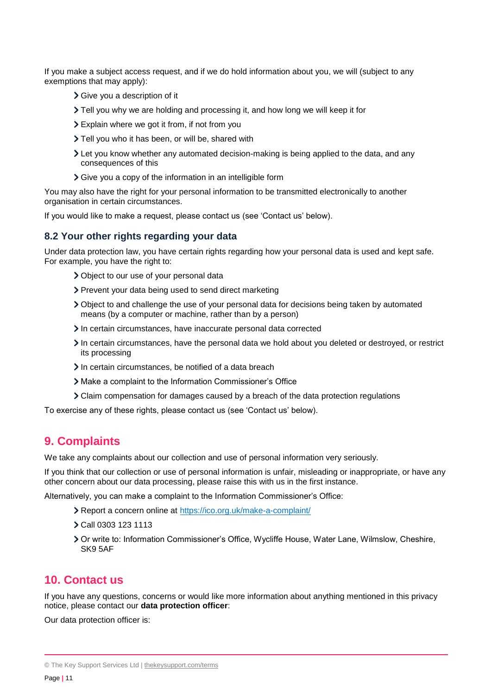If you make a subject access request, and if we do hold information about you, we will (subject to any exemptions that may apply):

- Give you a description of it
- Tell you why we are holding and processing it, and how long we will keep it for
- Explain where we got it from, if not from you
- > Tell you who it has been, or will be, shared with
- Let you know whether any automated decision-making is being applied to the data, and any consequences of this
- Give you a copy of the information in an intelligible form

You may also have the right for your personal information to be transmitted electronically to another organisation in certain circumstances.

If you would like to make a request, please contact us (see 'Contact us' below).

#### **8.2 Your other rights regarding your data**

Under data protection law, you have certain rights regarding how your personal data is used and kept safe. For example, you have the right to:

- Object to our use of your personal data
- > Prevent your data being used to send direct marketing
- Object to and challenge the use of your personal data for decisions being taken by automated means (by a computer or machine, rather than by a person)
- In certain circumstances, have inaccurate personal data corrected
- In certain circumstances, have the personal data we hold about you deleted or destroyed, or restrict its processing
- In certain circumstances, be notified of a data breach
- Make a complaint to the Information Commissioner's Office
- Claim compensation for damages caused by a breach of the data protection regulations

To exercise any of these rights, please contact us (see 'Contact us' below).

# **9. Complaints**

We take any complaints about our collection and use of personal information very seriously.

If you think that our collection or use of personal information is unfair, misleading or inappropriate, or have any other concern about our data processing, please raise this with us in the first instance.

Alternatively, you can make a complaint to the Information Commissioner's Office:

- Report a concern online at<https://ico.org.uk/make-a-complaint/>
- Call 0303 123 1113
- Or write to: Information Commissioner's Office, Wycliffe House, Water Lane, Wilmslow, Cheshire, SK9 5AF

# **10. Contact us**

If you have any questions, concerns or would like more information about anything mentioned in this privacy notice, please contact our **data protection officer**:

Our data protection officer is:

<sup>©</sup> The Key Support Services Ltd | [thekeysupport.com/terms](https://thekeysupport.com/terms-of-use)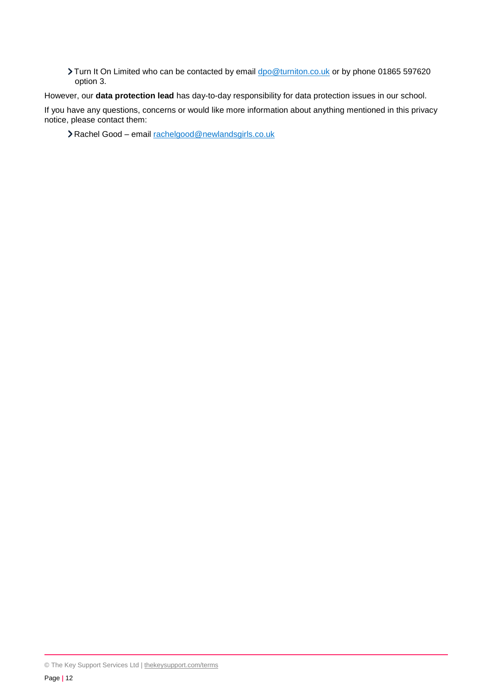Turn It On Limited who can be contacted by email [dpo@turniton.co.uk](mailto:dpo@turniton.co.uk) or by phone 01865 597620 option 3.

However, our **data protection lead** has day-to-day responsibility for data protection issues in our school.

If you have any questions, concerns or would like more information about anything mentioned in this privacy notice, please contact them:

Rachel Good – email [rachelgood@newlandsgirls.co.uk](mailto:rachelgood@newlandsgirls.co.uk)

<sup>©</sup> The Key Support Services Ltd | [thekeysupport.com/terms](https://thekeysupport.com/terms-of-use)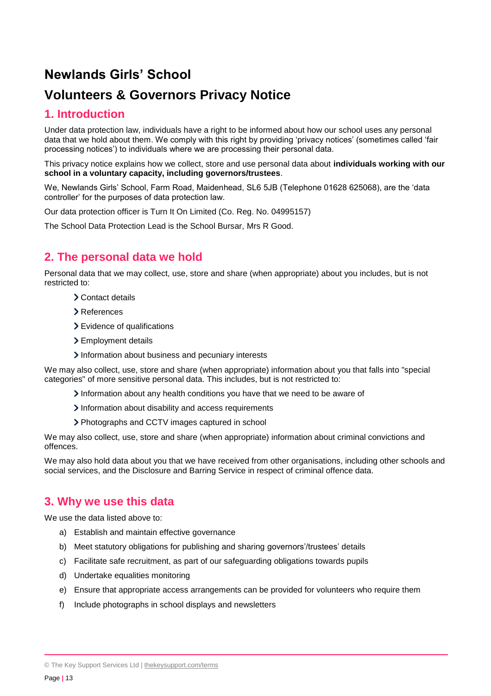# **Newlands Girls' School**

# **Volunteers & Governors Privacy Notice**

## **1. Introduction**

Under data protection law, individuals have a right to be informed about how our school uses any personal data that we hold about them. We comply with this right by providing 'privacy notices' (sometimes called 'fair processing notices') to individuals where we are processing their personal data.

This privacy notice explains how we collect, store and use personal data about **individuals working with our school in a voluntary capacity, including governors/trustees**.

We, Newlands Girls' School, Farm Road, Maidenhead, SL6 5JB (Telephone 01628 625068), are the 'data controller' for the purposes of data protection law.

Our data protection officer is Turn It On Limited (Co. Reg. No. 04995157)

The School Data Protection Lead is the School Bursar, Mrs R Good.

# **2. The personal data we hold**

Personal data that we may collect, use, store and share (when appropriate) about you includes, but is not restricted to:

- Contact details
- References
- Evidence of qualifications
- > Employment details
- Information about business and pecuniary interests

We may also collect, use, store and share (when appropriate) information about you that falls into "special categories" of more sensitive personal data. This includes, but is not restricted to:

- $\lambda$  Information about any health conditions you have that we need to be aware of
- Information about disability and access requirements
- Photographs and CCTV images captured in school

We may also collect, use, store and share (when appropriate) information about criminal convictions and offences.

We may also hold data about you that we have received from other organisations, including other schools and social services, and the Disclosure and Barring Service in respect of criminal offence data.

#### **3. Why we use this data**

We use the data listed above to:

- a) Establish and maintain effective governance
- b) Meet statutory obligations for publishing and sharing governors'/trustees' details
- c) Facilitate safe recruitment, as part of our safeguarding obligations towards pupils
- d) Undertake equalities monitoring
- e) Ensure that appropriate access arrangements can be provided for volunteers who require them
- f) Include photographs in school displays and newsletters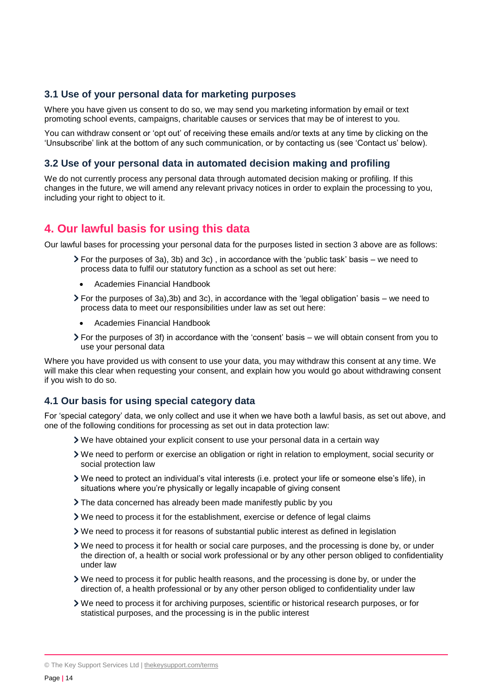#### **3.1 Use of your personal data for marketing purposes**

Where you have given us consent to do so, we may send you marketing information by email or text promoting school events, campaigns, charitable causes or services that may be of interest to you.

You can withdraw consent or 'opt out' of receiving these emails and/or texts at any time by clicking on the 'Unsubscribe' link at the bottom of any such communication, or by contacting us (see 'Contact us' below).

#### **3.2 Use of your personal data in automated decision making and profiling**

We do not currently process any personal data through automated decision making or profiling. If this changes in the future, we will amend any relevant privacy notices in order to explain the processing to you, including your right to object to it.

## **4. Our lawful basis for using this data**

Our lawful bases for processing your personal data for the purposes listed in section 3 above are as follows:

- $\geq$  For the purposes of 3a), 3b) and 3c), in accordance with the 'public task' basis we need to process data to fulfil our statutory function as a school as set out here:
	- Academies Financial Handbook
- $\triangleright$  For the purposes of 3a),3b) and 3c), in accordance with the 'legal obligation' basis we need to process data to meet our responsibilities under law as set out here:
	- Academies Financial Handbook
- For the purposes of 3f) in accordance with the 'consent' basis we will obtain consent from you to use your personal data

Where you have provided us with consent to use your data, you may withdraw this consent at any time. We will make this clear when requesting your consent, and explain how you would go about withdrawing consent if you wish to do so.

#### **4.1 Our basis for using special category data**

For 'special category' data, we only collect and use it when we have both a lawful basis, as set out above, and one of the following conditions for processing as set out in data protection law:

- We have obtained your explicit consent to use your personal data in a certain way
- We need to perform or exercise an obligation or right in relation to employment, social security or social protection law
- We need to protect an individual's vital interests (i.e. protect your life or someone else's life), in situations where you're physically or legally incapable of giving consent
- The data concerned has already been made manifestly public by you
- We need to process it for the establishment, exercise or defence of legal claims
- We need to process it for reasons of substantial public interest as defined in legislation
- We need to process it for health or social care purposes, and the processing is done by, or under the direction of, a health or social work professional or by any other person obliged to confidentiality under law
- We need to process it for public health reasons, and the processing is done by, or under the direction of, a health professional or by any other person obliged to confidentiality under law
- We need to process it for archiving purposes, scientific or historical research purposes, or for statistical purposes, and the processing is in the public interest

© The Key Support Services Ltd | [thekeysupport.com/terms](https://thekeysupport.com/terms-of-use)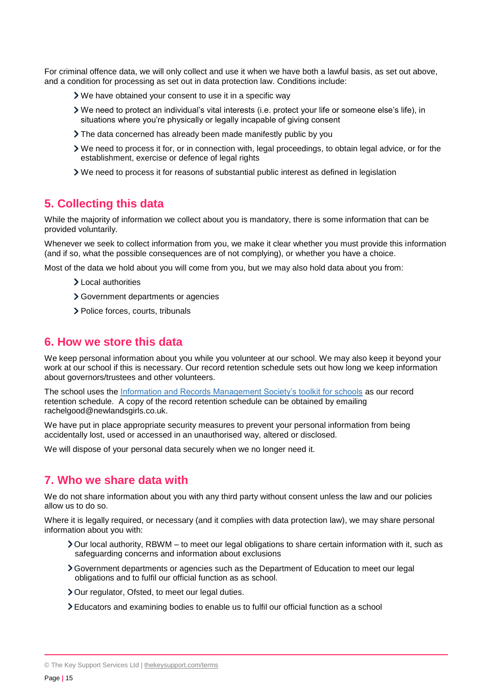For criminal offence data, we will only collect and use it when we have both a lawful basis, as set out above, and a condition for processing as set out in data protection law. Conditions include:

- We have obtained your consent to use it in a specific way
- We need to protect an individual's vital interests (i.e. protect your life or someone else's life), in situations where you're physically or legally incapable of giving consent
- The data concerned has already been made manifestly public by you
- We need to process it for, or in connection with, legal proceedings, to obtain legal advice, or for the establishment, exercise or defence of legal rights
- We need to process it for reasons of substantial public interest as defined in legislation

#### **5. Collecting this data**

While the majority of information we collect about you is mandatory, there is some information that can be provided voluntarily.

Whenever we seek to collect information from you, we make it clear whether you must provide this information (and if so, what the possible consequences are of not complying), or whether you have a choice.

Most of the data we hold about you will come from you, but we may also hold data about you from:

- Local authorities
- Government departments or agencies
- > Police forces, courts, tribunals

#### **6. How we store this data**

We keep personal information about you while you volunteer at our school. We may also keep it beyond your work at our school if this is necessary. Our record retention schedule sets out how long we keep information about governors/trustees and other volunteers.

The school uses the Information and Records Management Society's toolkit for schools as our record retention schedule. A copy of the record retention schedule can be obtained by emailing rachelgood@newlandsgirls.co.uk.

We have put in place appropriate security measures to prevent your personal information from being accidentally lost, used or accessed in an unauthorised way, altered or disclosed.

We will dispose of your personal data securely when we no longer need it.

#### **7. Who we share data with**

We do not share information about you with any third party without consent unless the law and our policies allow us to do so.

Where it is legally required, or necessary (and it complies with data protection law), we may share personal information about you with:

- Our local authority, RBWM to meet our legal obligations to share certain information with it, such as safeguarding concerns and information about exclusions
- Government departments or agencies such as the Department of Education to meet our legal obligations and to fulfil our official function as as school.
- > Our regulator, Ofsted, to meet our legal duties.
- Educators and examining bodies to enable us to fulfil our official function as a school

<sup>©</sup> The Key Support Services Ltd | [thekeysupport.com/terms](https://thekeysupport.com/terms-of-use)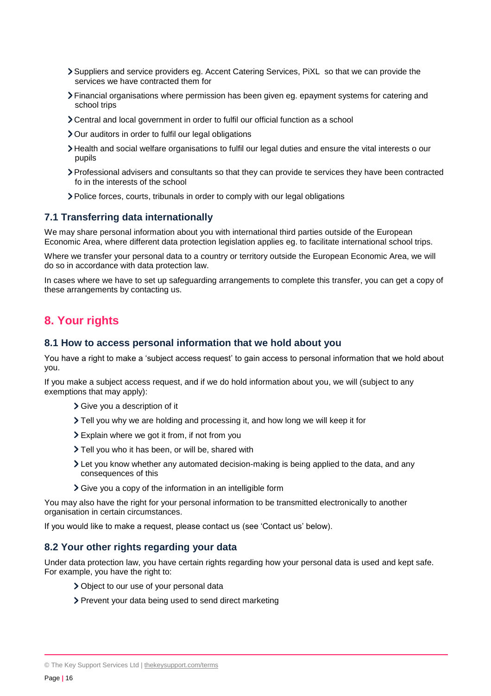- Suppliers and service providers eg. Accent Catering Services, PiXL so that we can provide the services we have contracted them for
- Financial organisations where permission has been given eg. epayment systems for catering and school trips
- Central and local government in order to fulfil our official function as a school
- > Our auditors in order to fulfil our legal obligations
- Health and social welfare organisations to fulfil our legal duties and ensure the vital interests o our pupils
- Professional advisers and consultants so that they can provide te services they have been contracted fo in the interests of the school
- Police forces, courts, tribunals in order to comply with our legal obligations

#### **7.1 Transferring data internationally**

We may share personal information about you with international third parties outside of the European Economic Area, where different data protection legislation applies eg. to facilitate international school trips.

Where we transfer your personal data to a country or territory outside the European Economic Area, we will do so in accordance with data protection law.

In cases where we have to set up safeguarding arrangements to complete this transfer, you can get a copy of these arrangements by contacting us.

#### **8. Your rights**

#### **8.1 How to access personal information that we hold about you**

You have a right to make a 'subject access request' to gain access to personal information that we hold about you.

If you make a subject access request, and if we do hold information about you, we will (subject to any exemptions that may apply):

- Give you a description of it
- Tell you why we are holding and processing it, and how long we will keep it for
- Explain where we got it from, if not from you
- > Tell you who it has been, or will be, shared with
- Let you know whether any automated decision-making is being applied to the data, and any consequences of this
- Give you a copy of the information in an intelligible form

You may also have the right for your personal information to be transmitted electronically to another organisation in certain circumstances.

If you would like to make a request, please contact us (see 'Contact us' below).

#### **8.2 Your other rights regarding your data**

Under data protection law, you have certain rights regarding how your personal data is used and kept safe. For example, you have the right to:

- Object to our use of your personal data
- > Prevent your data being used to send direct marketing

<sup>©</sup> The Key Support Services Ltd | [thekeysupport.com/terms](https://thekeysupport.com/terms-of-use)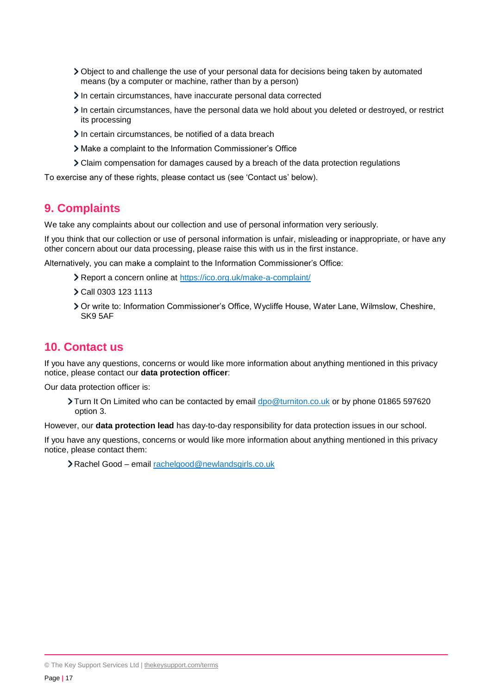- Object to and challenge the use of your personal data for decisions being taken by automated means (by a computer or machine, rather than by a person)
- In certain circumstances, have inaccurate personal data corrected
- In certain circumstances, have the personal data we hold about you deleted or destroyed, or restrict its processing
- In certain circumstances, be notified of a data breach
- Make a complaint to the Information Commissioner's Office
- Claim compensation for damages caused by a breach of the data protection regulations

To exercise any of these rights, please contact us (see 'Contact us' below).

#### **9. Complaints**

We take any complaints about our collection and use of personal information very seriously.

If you think that our collection or use of personal information is unfair, misleading or inappropriate, or have any other concern about our data processing, please raise this with us in the first instance.

Alternatively, you can make a complaint to the Information Commissioner's Office:

- Report a concern online at<https://ico.org.uk/make-a-complaint/>
- Call 0303 123 1113
- Or write to: Information Commissioner's Office, Wycliffe House, Water Lane, Wilmslow, Cheshire, SK9 5AF

## **10. Contact us**

If you have any questions, concerns or would like more information about anything mentioned in this privacy notice, please contact our **data protection officer**:

Our data protection officer is:

Turn It On Limited who can be contacted by email [dpo@turniton.co.uk](mailto:dpo@turniton.co.uk) or by phone 01865 597620 option 3.

However, our **data protection lead** has day-to-day responsibility for data protection issues in our school.

If you have any questions, concerns or would like more information about anything mentioned in this privacy notice, please contact them:

Rachel Good – email [rachelgood@newlandsgirls.co.uk](mailto:rachelgood@newlandsgirls.co.uk)